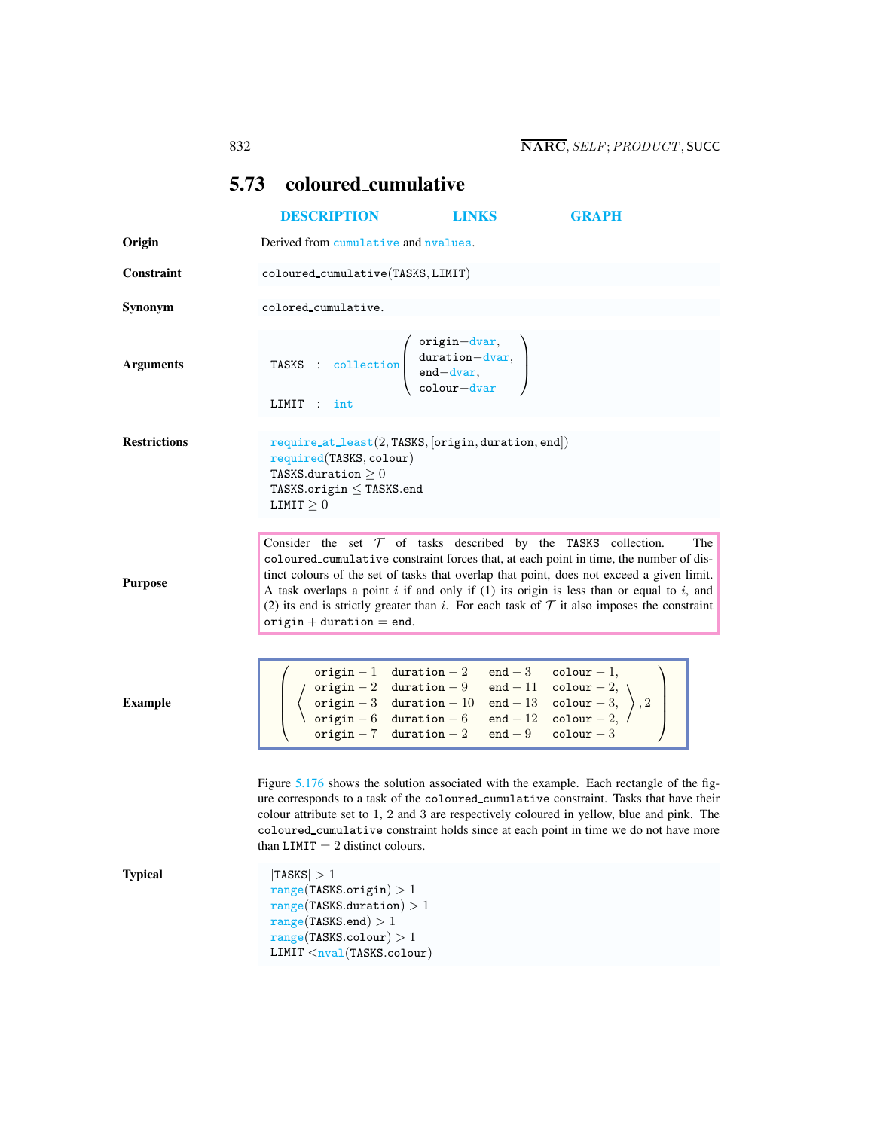| 5.73 coloured_cumulative |                                                                                                                                                                                                      |                                                                  |                                                                                                                                                                                                                                                                                                                                                                                                                                                         |
|--------------------------|------------------------------------------------------------------------------------------------------------------------------------------------------------------------------------------------------|------------------------------------------------------------------|---------------------------------------------------------------------------------------------------------------------------------------------------------------------------------------------------------------------------------------------------------------------------------------------------------------------------------------------------------------------------------------------------------------------------------------------------------|
|                          | <b>DESCRIPTION</b>                                                                                                                                                                                   | <b>LINKS</b>                                                     | GRAPH                                                                                                                                                                                                                                                                                                                                                                                                                                                   |
| Origin                   | Derived from cumulative and nyalues.                                                                                                                                                                 |                                                                  |                                                                                                                                                                                                                                                                                                                                                                                                                                                         |
| Constraint               | coloured_cumulative(TASKS, LIMIT)                                                                                                                                                                    |                                                                  |                                                                                                                                                                                                                                                                                                                                                                                                                                                         |
| Synonym                  | colored_cumulative.                                                                                                                                                                                  |                                                                  |                                                                                                                                                                                                                                                                                                                                                                                                                                                         |
| <b>Arguments</b>         | TASKS : collection $\begin{pmatrix} origin-down, \\ duration-down, \\ end-down, \\ colour-down \end{pmatrix}$<br>LIMIT : int                                                                         |                                                                  |                                                                                                                                                                                                                                                                                                                                                                                                                                                         |
| <b>Restrictions</b>      | required(TASKS, colour)<br>TASKS.duration $\geq 0$<br>TASKS.origin $\leq$ TASKS.end<br>LIMIT $\geq 0$                                                                                                | $require_at\_least(2, TASKS, [origin, duration, end])$           |                                                                                                                                                                                                                                                                                                                                                                                                                                                         |
| <b>Purpose</b>           | origin $+$ duration $=$ end.                                                                                                                                                                         | Consider the set $T$ of tasks described by the TASKS collection. | The<br>coloured_cumulative constraint forces that, at each point in time, the number of dis-<br>tinct colours of the set of tasks that overlap that point, does not exceed a given limit.<br>A task overlaps a point $i$ if and only if (1) its origin is less than or equal to $i$ , and<br>(2) its end is strictly greater than i. For each task of $T$ it also imposes the constraint                                                                |
| <b>Example</b>           |                                                                                                                                                                                                      |                                                                  | $\left(\begin{array}{cccc} \text{origin}-1 & \text{duration}-2 & \text{end}-3 & \text{colour}-1, \\ \left(\begin{array}{ccc} \text{origin}-2 & \text{duration}-9 & \text{end}-11 & \text{colour}-2, \\ \text{origin}-3 & \text{duration}-10 & \text{end}-13 & \text{colour}-3, \\ \text{origin}-6 & \text{duration}-6 & \text{end}-12 & \text{colour}-2, \\ \text{origin}-7 & \text{duration}-2 & \text{end}-9 & \text{colour}-3 \end{array}\right), 2$ |
| <b>Typical</b>           | than LIMIT $= 2$ distinct colours.<br> TASKS  > 1<br>range(TASKS.origin) > 1<br>range(TASKS.duration) > 1<br>range(TASKS.end) > 1<br>range(TASKS.colour) > 1<br>LIMIT <sub>nval</sub> (TASKS.colowr) |                                                                  | Figure 5.176 shows the solution associated with the example. Each rectangle of the fig-<br>ure corresponds to a task of the coloured_cumulative constraint. Tasks that have their<br>colour attribute set to 1, 2 and 3 are respectively coloured in yellow, blue and pink. The<br>coloured_cumulative constraint holds since at each point in time we do not have more                                                                                 |

<span id="page-0-0"></span>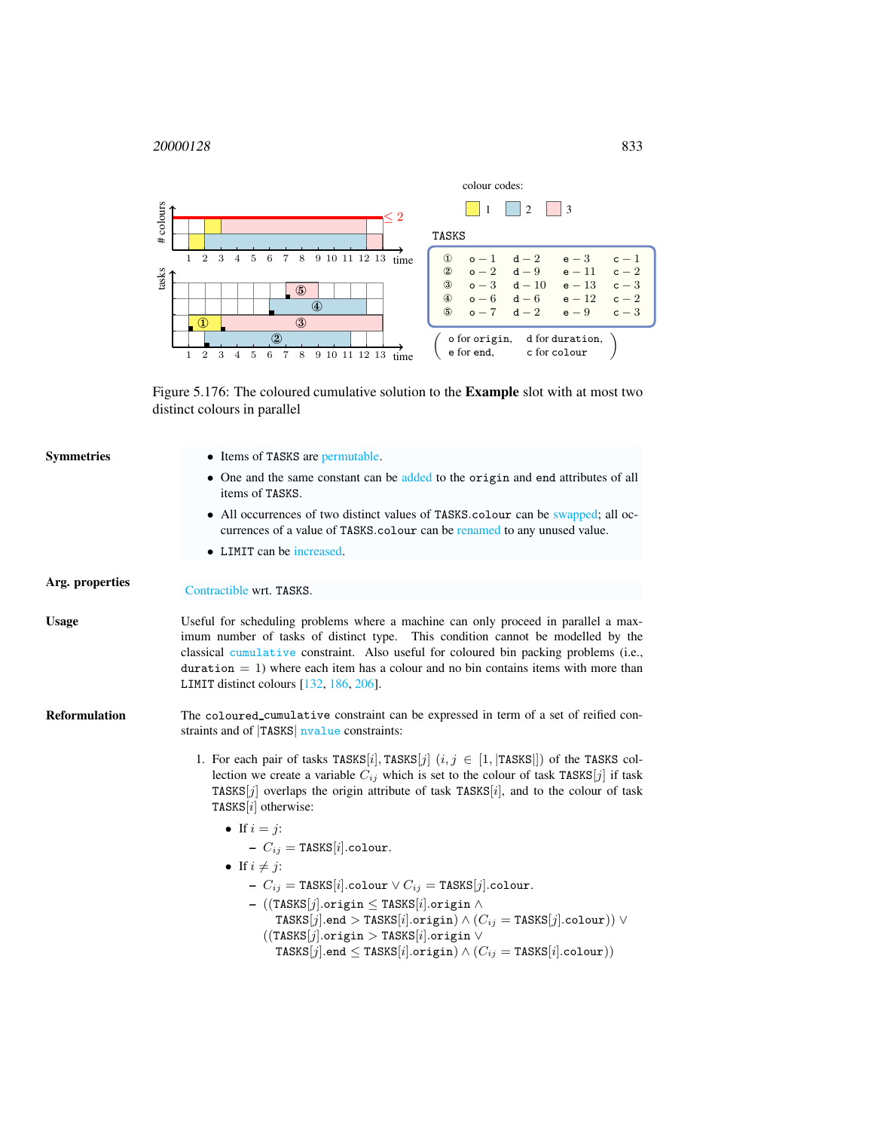## <sup>20000128</sup> 833



<span id="page-1-0"></span>Figure 5.176: The coloured cumulative solution to the Example slot with at most two distinct colours in parallel

| Symmetries      | • Items of TASKS are permutable.                                                                                                                                                                                                                                                                                                                                                                       |
|-----------------|--------------------------------------------------------------------------------------------------------------------------------------------------------------------------------------------------------------------------------------------------------------------------------------------------------------------------------------------------------------------------------------------------------|
|                 | • One and the same constant can be added to the origin and end attributes of all<br>items of TASKS.                                                                                                                                                                                                                                                                                                    |
|                 | • All occurrences of two distinct values of TASKS colour can be swapped; all oc-<br>currences of a value of TASKS.colour can be renamed to any unused value.                                                                                                                                                                                                                                           |
|                 | • LIMIT can be increased.                                                                                                                                                                                                                                                                                                                                                                              |
| Arg. properties | Contractible wrt. TASKS.                                                                                                                                                                                                                                                                                                                                                                               |
|                 |                                                                                                                                                                                                                                                                                                                                                                                                        |
| Usage           | Useful for scheduling problems where a machine can only proceed in parallel a max-<br>imum number of tasks of distinct type. This condition cannot be modelled by the<br>classical cumulative constraint. Also useful for coloured bin packing problems (i.e.,<br>duration $= 1$ ) where each item has a colour and no bin contains items with more than<br>LIMIT distinct colours $[132, 186, 206]$ . |
| Reformulation   | The coloured cumulative constraint can be expressed in term of a set of reified con-<br>straints and of TASKS nvalue constraints:                                                                                                                                                                                                                                                                      |
|                 | 1. For each pair of tasks TASKS[i], TASKS[j] $(i, j \in [1,  \text{TASKS} ])$ of the TASKS col-<br>lection we create a variable $C_{ij}$ which is set to the colour of task TASKS[j] if task<br>TASKS[j] overlaps the origin attribute of task TASKS[i], and to the colour of task<br>TASKS $[i]$ otherwise:                                                                                           |
|                 | • If $i = j$ :                                                                                                                                                                                                                                                                                                                                                                                         |
|                 | $-C_{ij} = \texttt{TASKS}[i].\texttt{colour}.$                                                                                                                                                                                                                                                                                                                                                         |
|                 | • If $i \neq j$ :                                                                                                                                                                                                                                                                                                                                                                                      |
|                 | - $C_{ij}$ = TASKS[i].colour $\vee C_{ij}$ = TASKS[j].colour.                                                                                                                                                                                                                                                                                                                                          |
|                 | $-$ ((TASKS[j].origin $\leq$ TASKS[i].origin $\wedge$<br>TASKS[j].end > TASKS[i].origin) $\wedge$ ( $C_{ij}$ = TASKS[j].colour)) $\vee$                                                                                                                                                                                                                                                                |
|                 | $((\texttt{TASKS}[j].\texttt{origin} > \texttt{TASKS}[i].\texttt{origin} \vee$                                                                                                                                                                                                                                                                                                                         |
|                 | TASKS[j].end $\leq$ TASKS[i].origin) $\wedge$ ( $C_{ij}$ = TASKS[i].colour))                                                                                                                                                                                                                                                                                                                           |
|                 |                                                                                                                                                                                                                                                                                                                                                                                                        |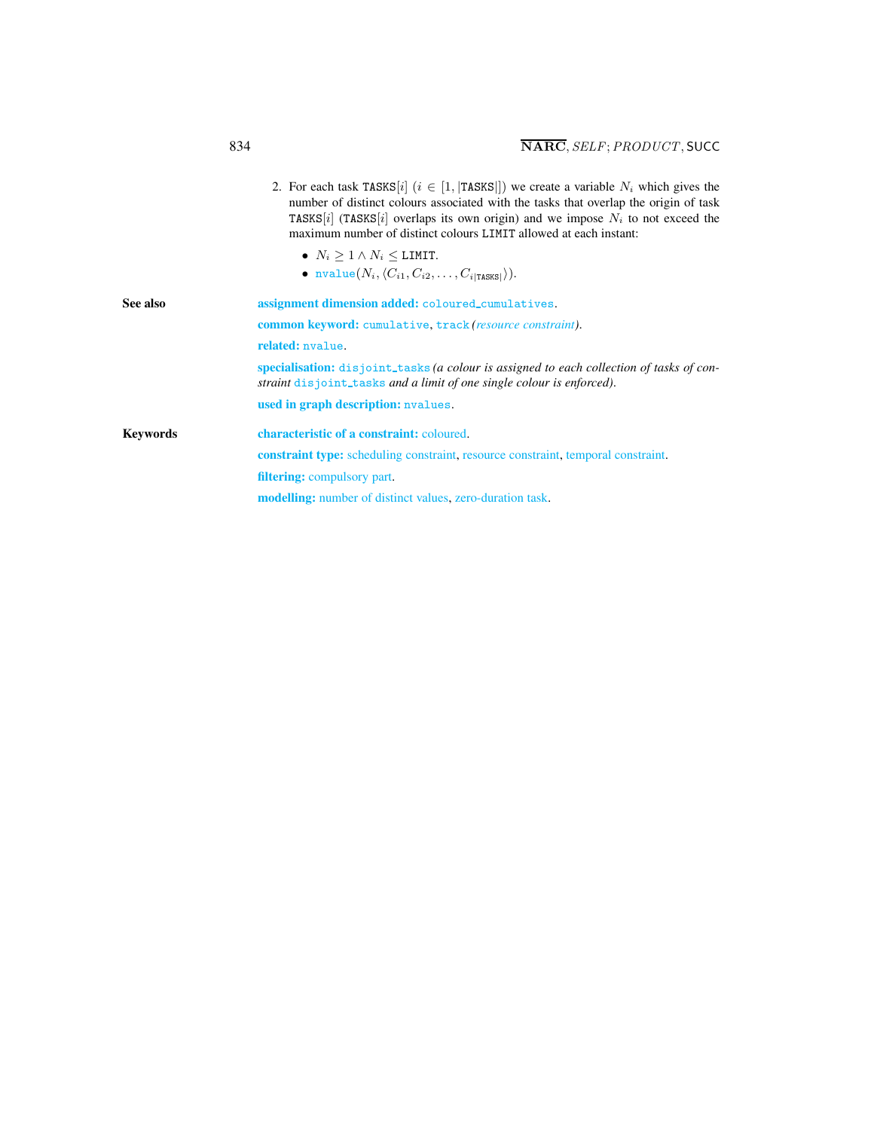<span id="page-2-0"></span>

|                 | 2. For each task TASKS [i] $(i \in [1,  TASKS ])$ we create a variable $N_i$ which gives the<br>number of distinct colours associated with the tasks that overlap the origin of task<br>TASKS[i] (TASKS[i] overlaps its own origin) and we impose $N_i$ to not exceed the<br>maximum number of distinct colours LIMIT allowed at each instant:<br>• $N_i > 1 \wedge N_i \leq$ LIMIT.<br>• nvalue $(N_i, \langle C_{i1}, C_{i2}, \ldots, C_{i TANSI} \rangle).$ |  |  |
|-----------------|----------------------------------------------------------------------------------------------------------------------------------------------------------------------------------------------------------------------------------------------------------------------------------------------------------------------------------------------------------------------------------------------------------------------------------------------------------------|--|--|
| See also        | assignment dimension added: coloured_cumulatives.                                                                                                                                                                                                                                                                                                                                                                                                              |  |  |
|                 | common keyword: cumulative, track (resource constraint).                                                                                                                                                                                                                                                                                                                                                                                                       |  |  |
|                 | related: nvalue.                                                                                                                                                                                                                                                                                                                                                                                                                                               |  |  |
|                 | specialisation: disjoint_tasks (a colour is assigned to each collection of tasks of con-<br>straint disjoint_tasks and a limit of one single colour is enforced).                                                                                                                                                                                                                                                                                              |  |  |
|                 | used in graph description: nvalues.                                                                                                                                                                                                                                                                                                                                                                                                                            |  |  |
| <b>Keywords</b> | characteristic of a constraint: coloured.                                                                                                                                                                                                                                                                                                                                                                                                                      |  |  |
|                 | <b>constraint type:</b> scheduling constraint, resource constraint, temporal constraint.                                                                                                                                                                                                                                                                                                                                                                       |  |  |
|                 | filtering: compulsory part.                                                                                                                                                                                                                                                                                                                                                                                                                                    |  |  |
|                 | <b>modelling:</b> number of distinct values, zero-duration task.                                                                                                                                                                                                                                                                                                                                                                                               |  |  |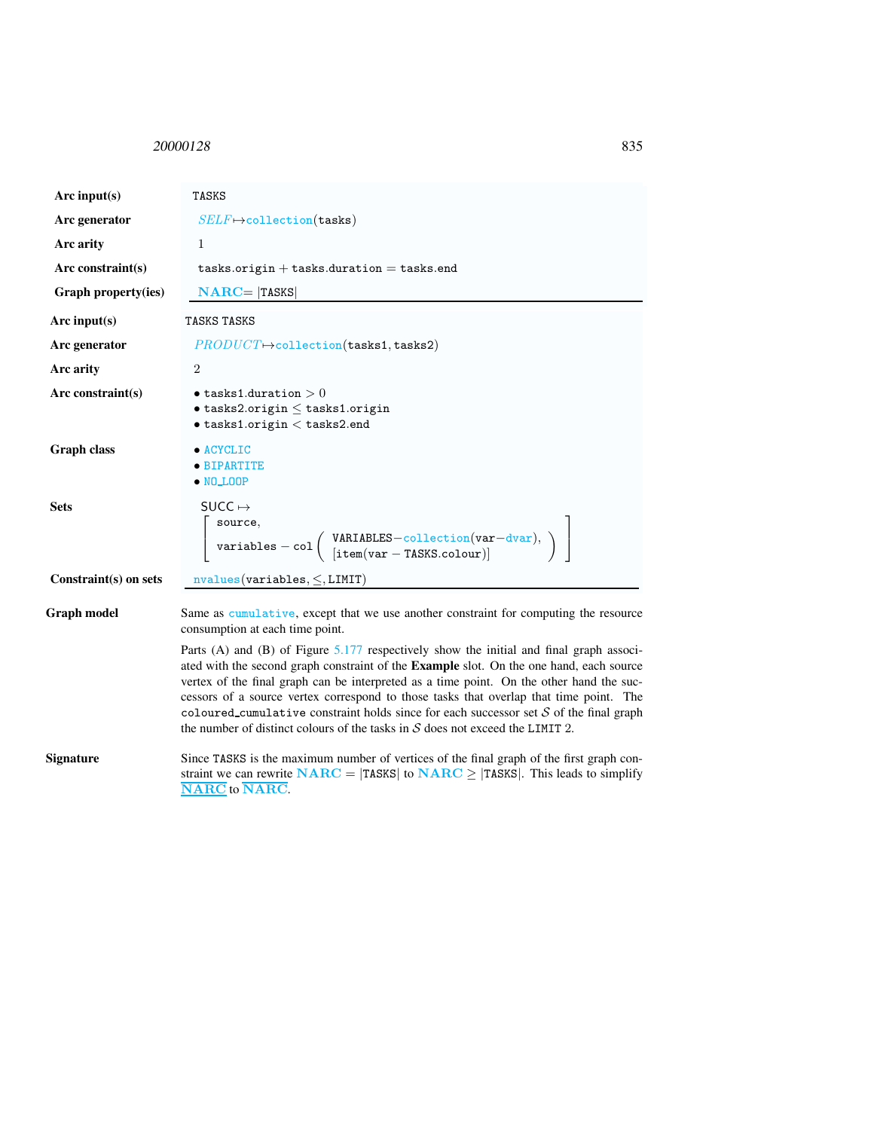<span id="page-3-0"></span><sup>20000128</sup> 835

| Arc input( $s$ )      | <b>TASKS</b>                                                                                                                                                                                                                                                                                                                                                                                                                                                                                                                                                     |  |  |
|-----------------------|------------------------------------------------------------------------------------------------------------------------------------------------------------------------------------------------------------------------------------------------------------------------------------------------------------------------------------------------------------------------------------------------------------------------------------------------------------------------------------------------------------------------------------------------------------------|--|--|
| Arc generator         | $SELF \mapsto$ collection(tasks)                                                                                                                                                                                                                                                                                                                                                                                                                                                                                                                                 |  |  |
| Arc arity             | $\mathbf{1}$                                                                                                                                                                                                                                                                                                                                                                                                                                                                                                                                                     |  |  |
| Arc constraint $(s)$  | $tasks.origin + tasks.duration = tasks.end$                                                                                                                                                                                                                                                                                                                                                                                                                                                                                                                      |  |  |
| Graph property(ies)   | $NARC =  TASKS $                                                                                                                                                                                                                                                                                                                                                                                                                                                                                                                                                 |  |  |
| Arc input(s)          | TASKS TASKS                                                                                                                                                                                                                                                                                                                                                                                                                                                                                                                                                      |  |  |
| Arc generator         | $PRODUCT \rightarrow collection(tasks 1, tasks 2)$                                                                                                                                                                                                                                                                                                                                                                                                                                                                                                               |  |  |
| Arc arity             | $\overline{2}$                                                                                                                                                                                                                                                                                                                                                                                                                                                                                                                                                   |  |  |
| Arc constraint(s)     | $\bullet$ tasks1.duration $>0$<br>$\bullet$ tasks2.origin $\leq$ tasks1.origin<br>$\bullet$ tasks1.origin $<$ tasks2.end                                                                                                                                                                                                                                                                                                                                                                                                                                         |  |  |
| <b>Graph class</b>    | · ACYCLIC<br>• BIPARTITE<br>$\bullet$ NO_LOOP                                                                                                                                                                                                                                                                                                                                                                                                                                                                                                                    |  |  |
| <b>Sets</b>           | SUCC $\mapsto$<br>source,<br>$\left[\begin{array}{c} \texttt{source},\\ \texttt{variables} - \texttt{col} \left(\begin{array}{c} \texttt{VARIABLES}-\texttt{collection}(\texttt{var}-\texttt{dvar}),\\ [\texttt{item}(\texttt{var}-\texttt{TASKS}.\texttt{colour})]\end{array}\right) \end{array}\right)$                                                                                                                                                                                                                                                        |  |  |
| Constraint(s) on sets | $nvalues(variables, \leq, LIMIT)$                                                                                                                                                                                                                                                                                                                                                                                                                                                                                                                                |  |  |
| <b>Graph model</b>    | Same as cumulative, except that we use another constraint for computing the resource<br>consumption at each time point.                                                                                                                                                                                                                                                                                                                                                                                                                                          |  |  |
|                       | Parts (A) and (B) of Figure $5.177$ respectively show the initial and final graph associ-<br>ated with the second graph constraint of the <b>Example</b> slot. On the one hand, each source<br>vertex of the final graph can be interpreted as a time point. On the other hand the suc-<br>cessors of a source vertex correspond to those tasks that overlap that time point. The<br>coloured_cumulative constraint holds since for each successor set $S$ of the final graph<br>the number of distinct colours of the tasks in $S$ does not exceed the LIMIT 2. |  |  |

Signature Since TASKS is the maximum number of vertices of the final graph of the first graph constraint we can rewrite  $NARC = |TASKS|$  to  $NARC \ge |TASKS|$ . This leads to simplify NARC to NARC.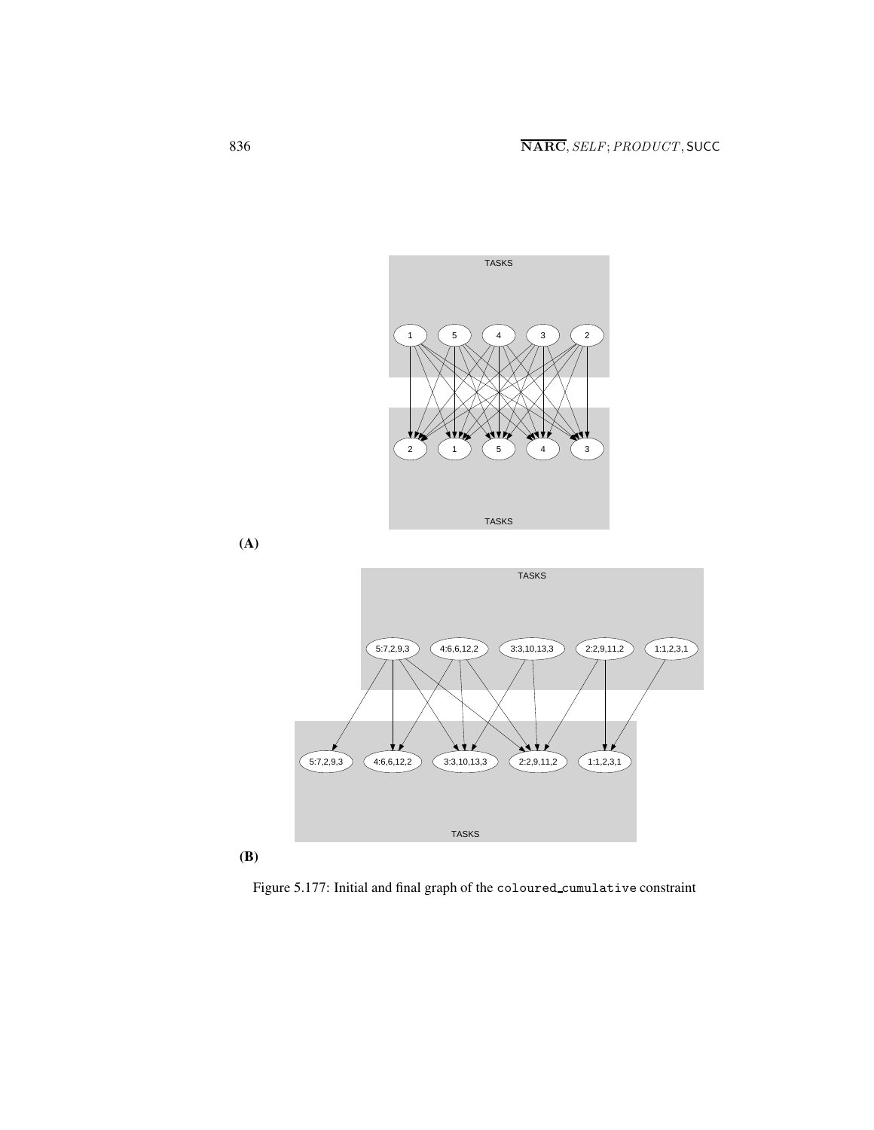



<span id="page-4-0"></span>Figure 5.177: Initial and final graph of the coloured cumulative constraint